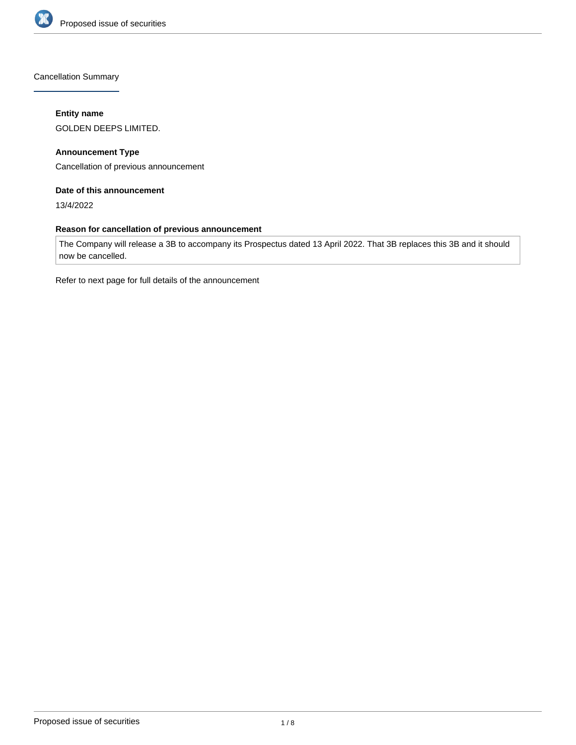

Cancellation Summary

## **Entity name**

GOLDEN DEEPS LIMITED.

**Announcement Type** Cancellation of previous announcement

## **Date of this announcement**

13/4/2022

## **Reason for cancellation of previous announcement**

The Company will release a 3B to accompany its Prospectus dated 13 April 2022. That 3B replaces this 3B and it should now be cancelled.

Refer to next page for full details of the announcement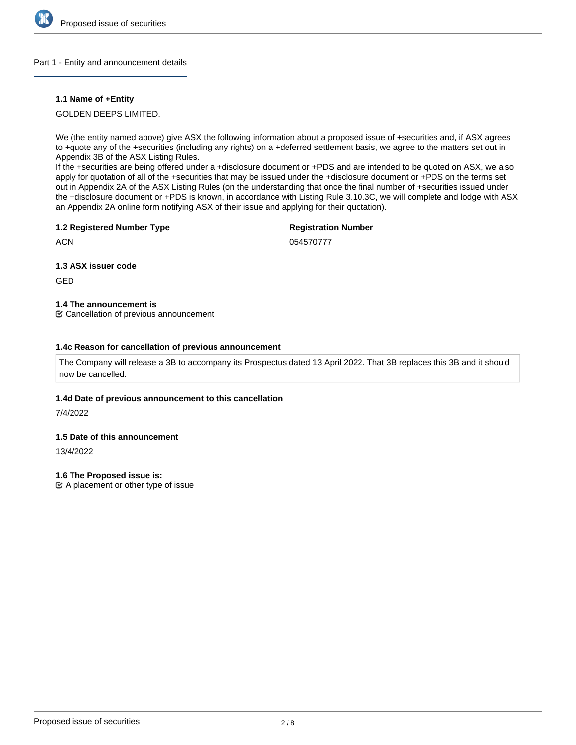

#### Part 1 - Entity and announcement details

## **1.1 Name of +Entity**

GOLDEN DEEPS LIMITED.

We (the entity named above) give ASX the following information about a proposed issue of +securities and, if ASX agrees to +quote any of the +securities (including any rights) on a +deferred settlement basis, we agree to the matters set out in Appendix 3B of the ASX Listing Rules.

If the +securities are being offered under a +disclosure document or +PDS and are intended to be quoted on ASX, we also apply for quotation of all of the +securities that may be issued under the +disclosure document or +PDS on the terms set out in Appendix 2A of the ASX Listing Rules (on the understanding that once the final number of +securities issued under the +disclosure document or +PDS is known, in accordance with Listing Rule 3.10.3C, we will complete and lodge with ASX an Appendix 2A online form notifying ASX of their issue and applying for their quotation).

## **1.2 Registered Number Type**

## **Registration Number**

**ACN** 

054570777

**1.3 ASX issuer code**

GED

**1.4 The announcement is**

Cancellation of previous announcement

## **1.4c Reason for cancellation of previous announcement**

The Company will release a 3B to accompany its Prospectus dated 13 April 2022. That 3B replaces this 3B and it should now be cancelled.

## **1.4d Date of previous announcement to this cancellation**

7/4/2022

## **1.5 Date of this announcement**

13/4/2022

## **1.6 The Proposed issue is:**

 $\mathfrak{C}$  A placement or other type of issue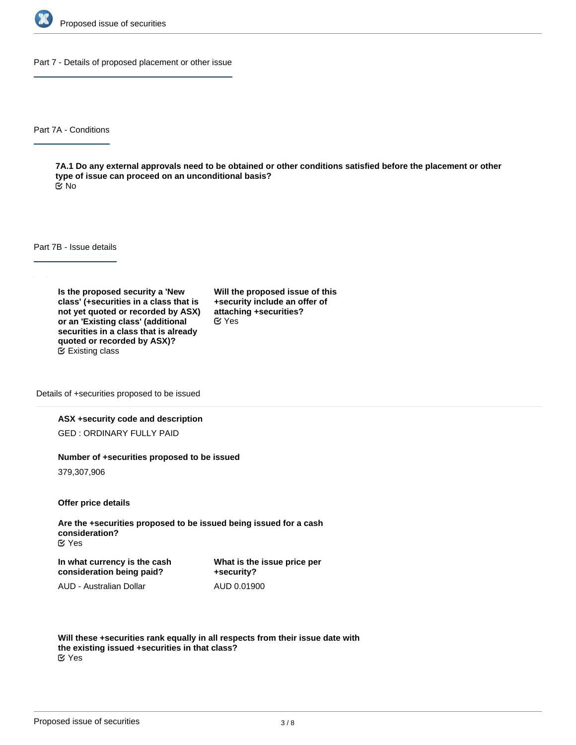

Part 7 - Details of proposed placement or other issue

Part 7A - Conditions

**7A.1 Do any external approvals need to be obtained or other conditions satisfied before the placement or other type of issue can proceed on an unconditional basis?** No

Part 7B - Issue details

**Is the proposed security a 'New class' (+securities in a class that is not yet quoted or recorded by ASX) or an 'Existing class' (additional securities in a class that is already quoted or recorded by ASX)?** Existing class

**Will the proposed issue of this +security include an offer of attaching +securities?** Yes

Details of +securities proposed to be issued

#### **ASX +security code and description**

GED : ORDINARY FULLY PAID

#### **Number of +securities proposed to be issued**

379,307,906

**Offer price details**

**Are the +securities proposed to be issued being issued for a cash consideration?** Yes

**In what currency is the cash consideration being paid?**

**What is the issue price per +security?** AUD 0.01900

AUD - Australian Dollar

**Will these +securities rank equally in all respects from their issue date with the existing issued +securities in that class?** Yes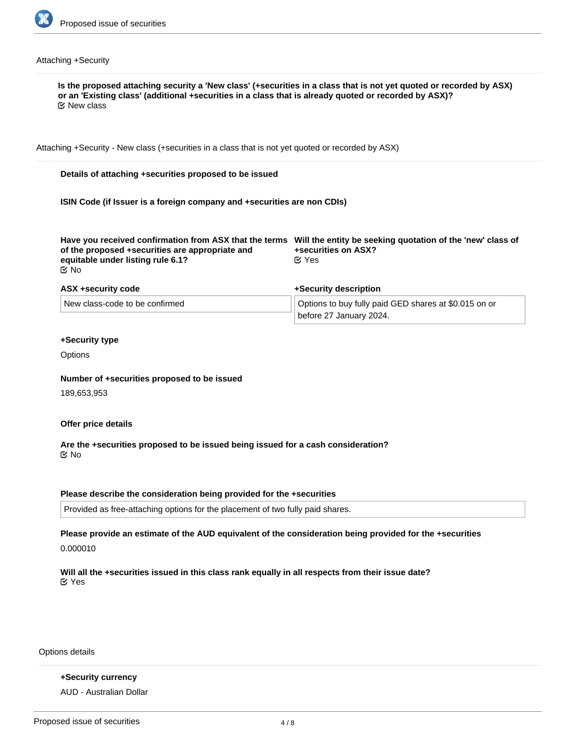

## Attaching +Security

| $\mathfrak C$ New class                                                                                                                                                                                                        |                                                                                  |  |
|--------------------------------------------------------------------------------------------------------------------------------------------------------------------------------------------------------------------------------|----------------------------------------------------------------------------------|--|
| Attaching +Security - New class (+securities in a class that is not yet quoted or recorded by ASX)                                                                                                                             |                                                                                  |  |
| Details of attaching +securities proposed to be issued                                                                                                                                                                         |                                                                                  |  |
| ISIN Code (if Issuer is a foreign company and +securities are non CDIs)                                                                                                                                                        |                                                                                  |  |
| Have you received confirmation from ASX that the terms Will the entity be seeking quotation of the 'new' class of<br>of the proposed +securities are appropriate and<br>equitable under listing rule 6.1?<br>$\mathfrak{C}$ No | +securities on ASX?<br>$\alpha$ Yes                                              |  |
| ASX +security code                                                                                                                                                                                                             | +Security description                                                            |  |
| New class-code to be confirmed                                                                                                                                                                                                 | Options to buy fully paid GED shares at \$0.015 on or<br>before 27 January 2024. |  |
| +Security type                                                                                                                                                                                                                 |                                                                                  |  |
| Options                                                                                                                                                                                                                        |                                                                                  |  |
| Number of +securities proposed to be issued                                                                                                                                                                                    |                                                                                  |  |
| 189,653,953                                                                                                                                                                                                                    |                                                                                  |  |
| Offer price details                                                                                                                                                                                                            |                                                                                  |  |
| Are the +securities proposed to be issued being issued for a cash consideration?<br>$\mathfrak{C}$ No                                                                                                                          |                                                                                  |  |
| Please describe the consideration being provided for the +securities                                                                                                                                                           |                                                                                  |  |
| Provided as free-attaching options for the placement of two fully paid shares.                                                                                                                                                 |                                                                                  |  |

0.000010

**Will all the +securities issued in this class rank equally in all respects from their issue date?** Yes

Options details

**+Security currency** AUD - Australian Dollar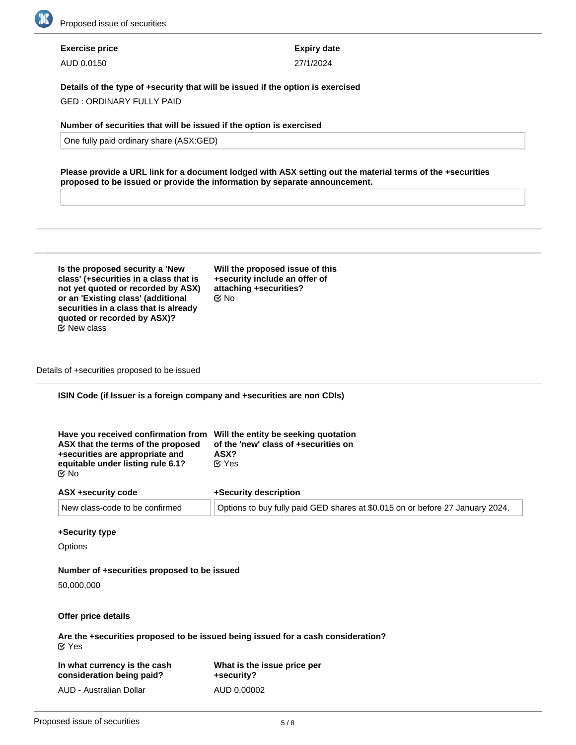

# **Exercise price**

AUD 0.0150

**Expiry date** 27/1/2024

**Details of the type of +security that will be issued if the option is exercised**

GED : ORDINARY FULLY PAID

## **Number of securities that will be issued if the option is exercised**

One fully paid ordinary share (ASX:GED)

**Please provide a URL link for a document lodged with ASX setting out the material terms of the +securities proposed to be issued or provide the information by separate announcement.**

| Is the proposed security a 'New        |  |  |
|----------------------------------------|--|--|
| class' (+securities in a class that is |  |  |
| not yet quoted or recorded by ASX)     |  |  |
| or an 'Existing class' (additional     |  |  |
| securities in a class that is already  |  |  |
| quoted or recorded by ASX)?            |  |  |
| <b>⊘</b> New class                     |  |  |

**Will the proposed issue of this +security include an offer of attaching +securities?** No

Details of +securities proposed to be issued

## **ISIN Code (if Issuer is a foreign company and +securities are non CDIs)**

| Have you received confirmation from Will the entity be seeking quotation<br>ASX that the terms of the proposed<br>+securities are appropriate and<br>equitable under listing rule 6.1?<br>ৰ্ত No | of the 'new' class of +securities on<br>ASX?<br>$\mathfrak{C}$ Yes            |
|--------------------------------------------------------------------------------------------------------------------------------------------------------------------------------------------------|-------------------------------------------------------------------------------|
| ASX +security code                                                                                                                                                                               | +Security description                                                         |
| New class-code to be confirmed                                                                                                                                                                   | Options to buy fully paid GED shares at \$0.015 on or before 27 January 2024. |

#### **+Security type**

**Options** 

## **Number of +securities proposed to be issued**

50,000,000

## **Offer price details**

**Are the +securities proposed to be issued being issued for a cash consideration?** Yes

| In what currency is the cash | What is the issue price per |
|------------------------------|-----------------------------|
| consideration being paid?    | +security?                  |
| AUD - Australian Dollar      | AUD 0.00002                 |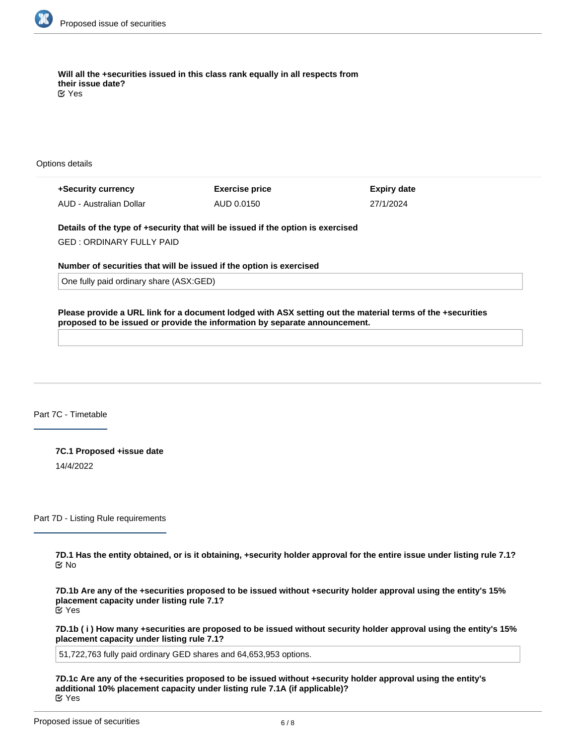

**Will all the +securities issued in this class rank equally in all respects from their issue date?** Yes

Options details

**+Security currency** AUD - Australian Dollar **Exercise price** AUD 0.0150

**Expiry date** 27/1/2024

**Details of the type of +security that will be issued if the option is exercised**

GED : ORDINARY FULLY PAID

**Number of securities that will be issued if the option is exercised**

One fully paid ordinary share (ASX:GED)

**Please provide a URL link for a document lodged with ASX setting out the material terms of the +securities proposed to be issued or provide the information by separate announcement.**

Part 7C - Timetable

**7C.1 Proposed +issue date** 14/4/2022

Part 7D - Listing Rule requirements

**7D.1 Has the entity obtained, or is it obtaining, +security holder approval for the entire issue under listing rule 7.1?** No

**7D.1b Are any of the +securities proposed to be issued without +security holder approval using the entity's 15% placement capacity under listing rule 7.1?** Yes

**7D.1b ( i ) How many +securities are proposed to be issued without security holder approval using the entity's 15% placement capacity under listing rule 7.1?**

51,722,763 fully paid ordinary GED shares and 64,653,953 options.

**7D.1c Are any of the +securities proposed to be issued without +security holder approval using the entity's additional 10% placement capacity under listing rule 7.1A (if applicable)?** Yes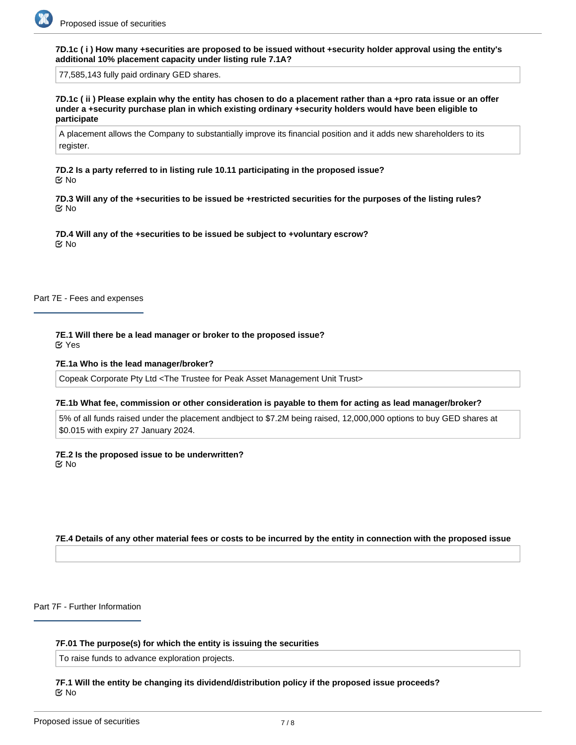**7D.1c ( i ) How many +securities are proposed to be issued without +security holder approval using the entity's additional 10% placement capacity under listing rule 7.1A?**

77,585,143 fully paid ordinary GED shares.

**7D.1c ( ii ) Please explain why the entity has chosen to do a placement rather than a +pro rata issue or an offer under a +security purchase plan in which existing ordinary +security holders would have been eligible to participate**

A placement allows the Company to substantially improve its financial position and it adds new shareholders to its register.

**7D.2 Is a party referred to in listing rule 10.11 participating in the proposed issue?** No

**7D.3 Will any of the +securities to be issued be +restricted securities for the purposes of the listing rules?** No

**7D.4 Will any of the +securities to be issued be subject to +voluntary escrow?** No

Part 7E - Fees and expenses

**7E.1 Will there be a lead manager or broker to the proposed issue?** Yes

#### **7E.1a Who is the lead manager/broker?**

Copeak Corporate Pty Ltd <The Trustee for Peak Asset Management Unit Trust>

#### **7E.1b What fee, commission or other consideration is payable to them for acting as lead manager/broker?**

5% of all funds raised under the placement andbject to \$7.2M being raised, 12,000,000 options to buy GED shares at \$0.015 with expiry 27 January 2024.

**7E.2 Is the proposed issue to be underwritten?** No

## **7E.4 Details of any other material fees or costs to be incurred by the entity in connection with the proposed issue**

Part 7F - Further Information

#### **7F.01 The purpose(s) for which the entity is issuing the securities**

To raise funds to advance exploration projects.

**7F.1 Will the entity be changing its dividend/distribution policy if the proposed issue proceeds?** No